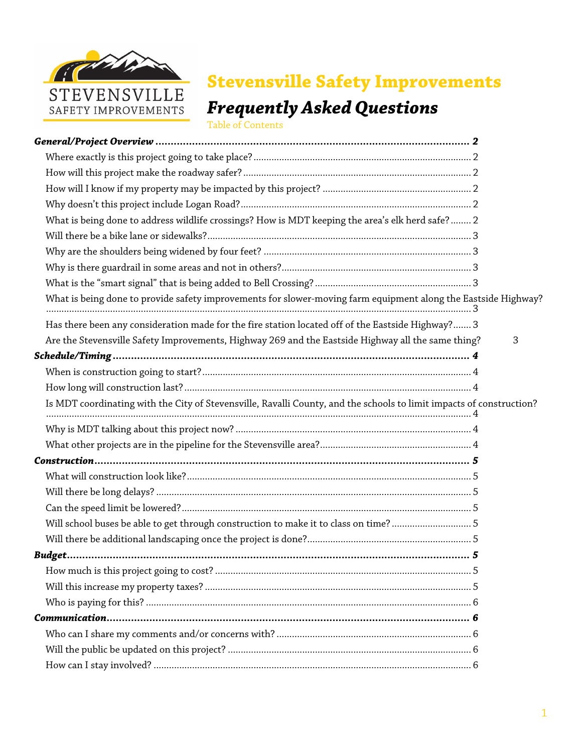

## **Stevensville Safety Improvements**

# *Frequently Asked Questions*

Table of Contents

| What is being done to address wildlife crossings? How is MDT keeping the area's elk herd safe?  2                    |   |
|----------------------------------------------------------------------------------------------------------------------|---|
|                                                                                                                      |   |
|                                                                                                                      |   |
|                                                                                                                      |   |
|                                                                                                                      |   |
| What is being done to provide safety improvements for slower-moving farm equipment along the Eastside Highway?       |   |
| Has there been any consideration made for the fire station located off of the Eastside Highway? 3                    |   |
| Are the Stevensville Safety Improvements, Highway 269 and the Eastside Highway all the same thing?                   | З |
|                                                                                                                      |   |
|                                                                                                                      |   |
|                                                                                                                      |   |
| Is MDT coordinating with the City of Stevensville, Ravalli County, and the schools to limit impacts of construction? |   |
|                                                                                                                      |   |
|                                                                                                                      |   |
|                                                                                                                      |   |
|                                                                                                                      |   |
|                                                                                                                      |   |
|                                                                                                                      |   |
| Will school buses be able to get through construction to make it to class on time? 5                                 |   |
|                                                                                                                      |   |
|                                                                                                                      |   |
|                                                                                                                      |   |
|                                                                                                                      |   |
|                                                                                                                      |   |
|                                                                                                                      |   |
|                                                                                                                      |   |
|                                                                                                                      |   |
|                                                                                                                      |   |
|                                                                                                                      |   |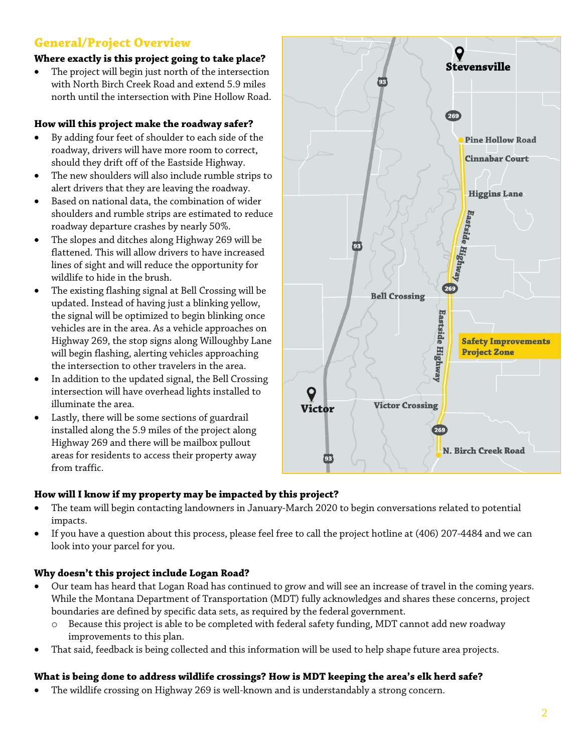## **General/Project Overview**

#### **Where exactly is this project going to take place?**

The project will begin just north of the intersection with North Birch Creek Road and extend 5.9 miles north until the intersection with Pine Hollow Road.

#### **How will this project make the roadway safer?**

- By adding four feet of shoulder to each side of the roadway, drivers will have more room to correct, should they drift off of the Eastside Highway.
- The new shoulders will also include rumble strips to alert drivers that they are leaving the roadway.
- Based on national data, the combination of wider shoulders and rumble strips are estimated to reduce roadway departure crashes by nearly 50%.
- The slopes and ditches along Highway 269 will be flattened. This will allow drivers to have increased lines of sight and will reduce the opportunity for wildlife to hide in the brush.
- The existing flashing signal at Bell Crossing will be updated. Instead of having just a blinking yellow, the signal will be optimized to begin blinking once vehicles are in the area. As a vehicle approaches on Highway 269, the stop signs along Willoughby Lane will begin flashing, alerting vehicles approaching the intersection to other travelers in the area.
- In addition to the updated signal, the Bell Crossing intersection will have overhead lights installed to illuminate the area.
- Lastly, there will be some sections of guardrail installed along the 5.9 miles of the project along Highway 269 and there will be mailbox pullout areas for residents to access their property away from traffic.



#### **How will I know if my property may be impacted by this project?**

- The team will begin contacting landowners in January-March 2020 to begin conversations related to potential impacts.
- If you have a question about this process, please feel free to call the project hotline at (406) 207-4484 and we can look into your parcel for you.

#### **Why doesn't this project include Logan Road?**

- Our team has heard that Logan Road has continued to grow and will see an increase of travel in the coming years. While the Montana Department of Transportation (MDT) fully acknowledges and shares these concerns, project boundaries are defined by specific data sets, as required by the federal government.
	- o Because this project is able to be completed with federal safety funding, MDT cannot add new roadway improvements to this plan.
- That said, feedback is being collected and this information will be used to help shape future area projects.

#### **What is being done to address wildlife crossings? How is MDT keeping the area's elk herd safe?**

• The wildlife crossing on Highway 269 is well-known and is understandably a strong concern.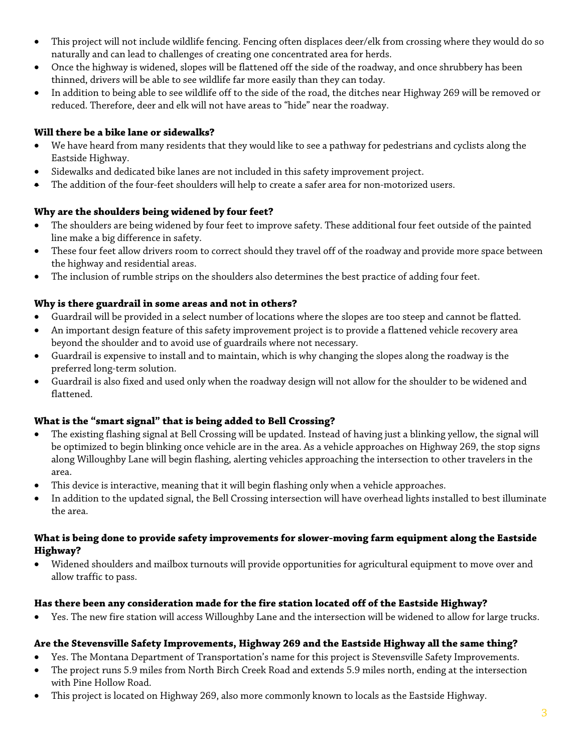- This project will not include wildlife fencing. Fencing often displaces deer/elk from crossing where they would do so naturally and can lead to challenges of creating one concentrated area for herds.
- Once the highway is widened, slopes will be flattened off the side of the roadway, and once shrubbery has been thinned, drivers will be able to see wildlife far more easily than they can today.
- In addition to being able to see wildlife off to the side of the road, the ditches near Highway 269 will be removed or reduced. Therefore, deer and elk will not have areas to "hide" near the roadway.

#### **Will there be a bike lane or sidewalks?**

- We have heard from many residents that they would like to see a pathway for pedestrians and cyclists along the Eastside Highway.
- Sidewalks and dedicated bike lanes are not included in this safety improvement project.
- The addition of the four-feet shoulders will help to create a safer area for non-motorized users.

#### **Why are the shoulders being widened by four feet?**

- The shoulders are being widened by four feet to improve safety. These additional four feet outside of the painted line make a big difference in safety.
- These four feet allow drivers room to correct should they travel off of the roadway and provide more space between the highway and residential areas.
- The inclusion of rumble strips on the shoulders also determines the best practice of adding four feet.

#### **Why is there guardrail in some areas and not in others?**

- Guardrail will be provided in a select number of locations where the slopes are too steep and cannot be flatted.
- An important design feature of this safety improvement project is to provide a flattened vehicle recovery area beyond the shoulder and to avoid use of guardrails where not necessary.
- Guardrail is expensive to install and to maintain, which is why changing the slopes along the roadway is the preferred long-term solution.
- Guardrail is also fixed and used only when the roadway design will not allow for the shoulder to be widened and flattened.

#### **What is the "smart signal" that is being added to Bell Crossing?**

- The existing flashing signal at Bell Crossing will be updated. Instead of having just a blinking yellow, the signal will be optimized to begin blinking once vehicle are in the area. As a vehicle approaches on Highway 269, the stop signs along Willoughby Lane will begin flashing, alerting vehicles approaching the intersection to other travelers in the area.
- This device is interactive, meaning that it will begin flashing only when a vehicle approaches.
- In addition to the updated signal, the Bell Crossing intersection will have overhead lights installed to best illuminate the area.

#### **What is being done to provide safety improvements for slower-moving farm equipment along the Eastside Highway?**

• Widened shoulders and mailbox turnouts will provide opportunities for agricultural equipment to move over and allow traffic to pass.

#### **Has there been any consideration made for the fire station located off of the Eastside Highway?**

• Yes. The new fire station will access Willoughby Lane and the intersection will be widened to allow for large trucks.

#### **Are the Stevensville Safety Improvements, Highway 269 and the Eastside Highway all the same thing?**

- Yes. The Montana Department of Transportation's name for this project is Stevensville Safety Improvements.
- The project runs 5.9 miles from North Birch Creek Road and extends 5.9 miles north, ending at the intersection with Pine Hollow Road.
- This project is located on Highway 269, also more commonly known to locals as the Eastside Highway.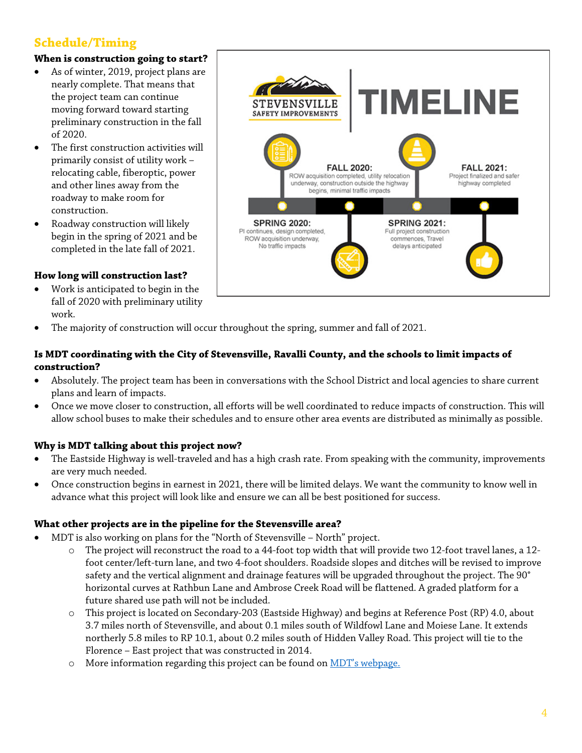## **Schedule/Timing**

#### **When is construction going to start?**

- As of winter, 2019, project plans are nearly complete. That means that the project team can continue moving forward toward starting preliminary construction in the fall of 2020.
- The first construction activities will primarily consist of utility work – relocating cable, fiberoptic, power and other lines away from the roadway to make room for construction.
- Roadway construction will likely begin in the spring of 2021 and be completed in the late fall of 2021.

#### **How long will construction last?**

- Work is anticipated to begin in the fall of 2020 with preliminary utility work.
- **MELINE** STEVENSVILLE **SAFETY IMPROVEMENTS FALL 2020: FALL 2021:** ROW acquisition completed, utility relocation Project finalized and safer underway, construction outside the highway highway completed begins, minimal traffic impacts **SPRING 2020: SPRING 2021:** PI continues, design completed, Full project construction ROW acquisition underway, commences, Travel No traffic impacts delays anticipated
- The majority of construction will occur throughout the spring, summer and fall of 2021.

#### **Is MDT coordinating with the City of Stevensville, Ravalli County, and the schools to limit impacts of construction?**

- Absolutely. The project team has been in conversations with the School District and local agencies to share current plans and learn of impacts.
- Once we move closer to construction, all efforts will be well coordinated to reduce impacts of construction. This will allow school buses to make their schedules and to ensure other area events are distributed as minimally as possible.

#### **Why is MDT talking about this project now?**

- The Eastside Highway is well-traveled and has a high crash rate. From speaking with the community, improvements are very much needed.
- Once construction begins in earnest in 2021, there will be limited delays. We want the community to know well in advance what this project will look like and ensure we can all be best positioned for success.

#### **What other projects are in the pipeline for the Stevensville area?**

- MDT is also working on plans for the "North of Stevensville North" project.
	- o The project will reconstruct the road to a 44-foot top width that will provide two 12-foot travel lanes, a 12 foot center/left-turn lane, and two 4-foot shoulders. Roadside slopes and ditches will be revised to improve safety and the vertical alignment and drainage features will be upgraded throughout the project. The 90° horizontal curves at Rathbun Lane and Ambrose Creek Road will be flattened. A graded platform for a future shared use path will not be included.
	- o This project is located on Secondary-203 (Eastside Highway) and begins at Reference Post (RP) 4.0, about 3.7 miles north of Stevensville, and about 0.1 miles south of Wildfowl Lane and Moiese Lane. It extends northerly 5.8 miles to RP 10.1, about 0.2 miles south of Hidden Valley Road. This project will tie to the Florence – East project that was constructed in 2014.
	- o More information regarding this project can be found on MDT's webpage.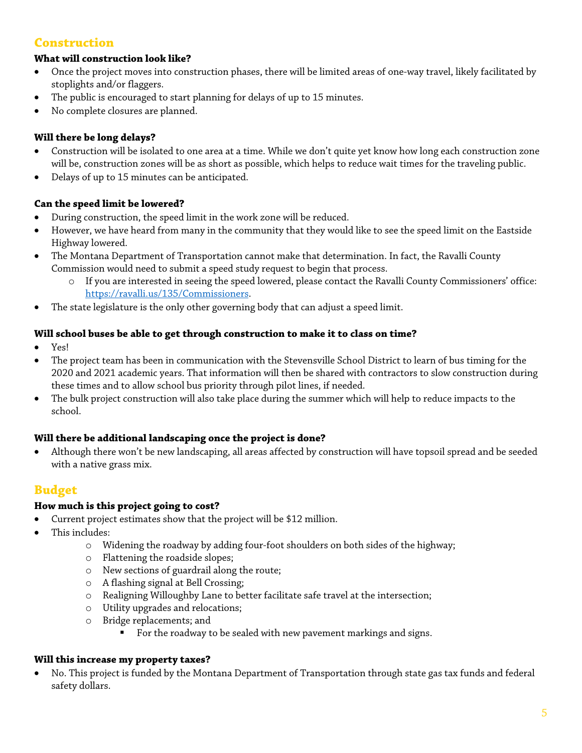## **Construction**

#### **What will construction look like?**

- Once the project moves into construction phases, there will be limited areas of one-way travel, likely facilitated by stoplights and/or flaggers.
- The public is encouraged to start planning for delays of up to 15 minutes.
- No complete closures are planned.

#### **Will there be long delays?**

- Construction will be isolated to one area at a time. While we don't quite yet know how long each construction zone will be, construction zones will be as short as possible, which helps to reduce wait times for the traveling public.
- Delays of up to 15 minutes can be anticipated.

#### **Can the speed limit be lowered?**

- During construction, the speed limit in the work zone will be reduced.
- However, we have heard from many in the community that they would like to see the speed limit on the Eastside Highway lowered.
- The Montana Department of Transportation cannot make that determination. In fact, the Ravalli County Commission would need to submit a speed study request to begin that process.
	- o If you are interested in seeing the speed lowered, please contact the Ravalli County Commissioners' office: https://ravalli.us/135/Commissioners.
- The state legislature is the only other governing body that can adjust a speed limit.

#### **Will school buses be able to get through construction to make it to class on time?**

- Yes!
- The project team has been in communication with the Stevensville School District to learn of bus timing for the 2020 and 2021 academic years. That information will then be shared with contractors to slow construction during these times and to allow school bus priority through pilot lines, if needed.
- The bulk project construction will also take place during the summer which will help to reduce impacts to the school.

#### **Will there be additional landscaping once the project is done?**

• Although there won't be new landscaping, all areas affected by construction will have topsoil spread and be seeded with a native grass mix.

### **Budget**

#### **How much is this project going to cost?**

- Current project estimates show that the project will be \$12 million.
- This includes:
	- o Widening the roadway by adding four-foot shoulders on both sides of the highway;
	- o Flattening the roadside slopes;
	- o New sections of guardrail along the route;
	- o A flashing signal at Bell Crossing;
	- o Realigning Willoughby Lane to better facilitate safe travel at the intersection;
	- o Utility upgrades and relocations;
	- o Bridge replacements; and
		- For the roadway to be sealed with new pavement markings and signs.

#### **Will this increase my property taxes?**

• No. This project is funded by the Montana Department of Transportation through state gas tax funds and federal safety dollars.